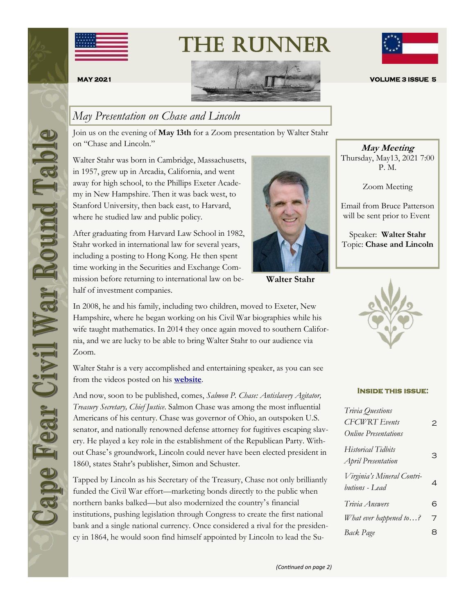

# The Runner





### *May Presentation on Chase and Lincoln*

Join us on the evening of **May 13th** for a Zoom presentation by Walter Stahr on "Chase and Lincoln."

Walter Stahr was born in Cambridge, Massachusetts, in 1957, grew up in Arcadia, California, and went away for high school, to the Phillips Exeter Academy in New Hampshire. Then it was back west, to Stanford University, then back east, to Harvard, where he studied law and public policy.

After graduating from Harvard Law School in 1982, Stahr worked in international law for several years, including a posting to Hong Kong. He then spent time working in the Securities and Exchange Commission before returning to international law on behalf of investment companies.



**Walter Stahr**

In 2008, he and his family, including two children, moved to Exeter, New Hampshire, where he began working on his Civil War biographies while his wife taught mathematics. In 2014 they once again moved to southern California, and we are lucky to be able to bring Walter Stahr to our audience via Zoom.

Walter Stahr is a very accomplished and entertaining speaker, as you can see from the videos posted on his **[website](https://walterstahr.com/)**.

And now, soon to be published, comes, *Salmon P. Chase: Antislavery Agitator, Treasury Secretary, Chief Justice*. Salmon Chase was among the most influential Americans of his century. Chase was governor of Ohio, an outspoken U.S. senator, and nationally renowned defense attorney for fugitives escaping slavery. He played a key role in the establishment of the Republican Party. Without Chase's groundwork, Lincoln could never have been elected president in 1860, states Stahr's publisher, Simon and Schuster.

Tapped by Lincoln as his Secretary of the Treasury, Chase not only brilliantly funded the Civil War effort—marketing bonds directly to the public when northern banks balked—but also modernized the country's financial institutions, pushing legislation through Congress to create the first national bank and a single national currency. Once considered a rival for the presidency in 1864, he would soon find himself appointed by Lincoln to lead the Su-

**May Meeting** Thursday, May13, 2021 7:00 P. M.

Zoom Meeting

Email from Bruce Patterson will be sent prior to Event

Speaker: **Walter Stahr** Topic: **Chase and Lincoln**



#### **Inside this issue:**

| Trivia Questions            |   |
|-----------------------------|---|
| <b>CFCWRT</b> Events        | 2 |
| <b>Online Presentations</b> |   |
| <b>Historical Tidbits</b>   |   |
| <b>April Presentation</b>   | З |
| Virginia's Mineral Contri-  |   |
| butions - Lead              | 4 |
| Trivia Answers              | 6 |
| What ever happened to?      | 7 |
| Back Page                   | 8 |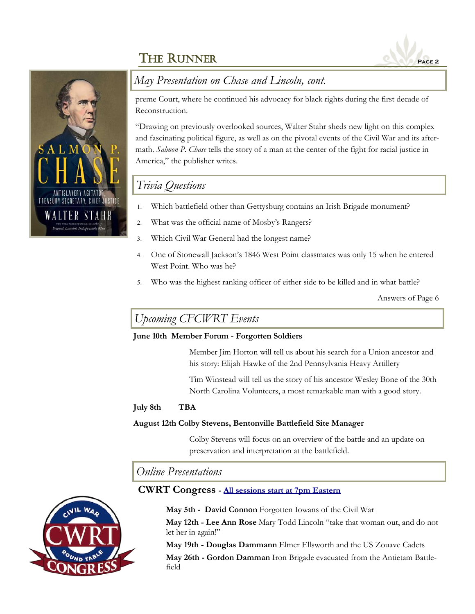



### *May Presentation on Chase and Lincoln, cont.*

preme Court, where he continued his advocacy for black rights during the first decade of Reconstruction.

"Drawing on previously overlooked sources, Walter Stahr sheds new light on this complex and fascinating political figure, as well as on the pivotal events of the Civil War and its aftermath. *Salmon P. Chase* tells the story of a man at the center of the fight for racial justice in America," the publisher writes.

### *Trivia Questions*

- Which battlefield other than Gettysburg contains an Irish Brigade monument?
- What was the official name of Mosby's Rangers?
- Which Civil War General had the longest name?
- One of Stonewall Jackson's 1846 West Point classmates was only 15 when he entered West Point. Who was he?
- Who was the highest ranking officer of either side to be killed and in what battle?

Answers of Page 6

### *Upcoming CFCWRT Events*

#### **June 10th Member Forum - Forgotten Soldiers**

Member Jim Horton will tell us about his search for a Union ancestor and his story: Elijah Hawke of the 2nd Pennsylvania Heavy Artillery

Tim Winstead will tell us the story of his ancestor Wesley Bone of the 30th North Carolina Volunteers, a most remarkable man with a good story.

### **July 8th TBA**

#### **August 12th Colby Stevens, Bentonville Battlefield Site Manager**

Colby Stevens will focus on an overview of the battle and an update on preservation and interpretation at the battlefield.

*Online Presentations*

### **CWRT Congress - [All sessions start at 7pm Eastern](https://www.cwrtcongress.org/speaker.html)**



**May 5th - David Connon** Forgotten Iowans of the Civil War

**May 12th - Lee Ann Rose** Mary Todd Lincoln "take that woman out, and do not let her in again!"

**May 19th - Douglas Dammann** Elmer Ellsworth and the US Zouave Cadets

**May 26th - Gordon Damman** Iron Brigade evacuated from the Antietam Battlefield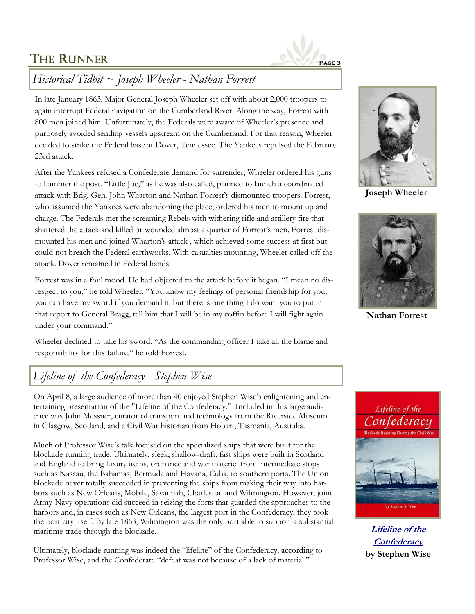

# *Historical Tidbit ~ Joseph Wheeler - Nathan Forrest*

In late January 1863, Major General Joseph Wheeler set off with about 2,000 troopers to again interrupt Federal navigation on the Cumberland River. Along the way, Forrest with 800 men joined him. Unfortunately, the Federals were aware of Wheeler's presence and purposely avoided sending vessels upstream on the Cumberland. For that reason, Wheeler decided to strike the Federal base at Dover, Tennessee. The Yankees repulsed the February 23rd attack.

After the Yankees refused a Confederate demand for surrender, Wheeler ordered his guns to hammer the post. "Little Joe," as he was also called, planned to launch a coordinated attack with Brig. Gen. John Wharton and Nathan Forrest's dismounted troopers. Forrest, who assumed the Yankees were abandoning the place, ordered his men to mount up and charge. The Federals met the screaming Rebels with withering rifle and artillery fire that shattered the attack and killed or wounded almost a quarter of Forrest's men. Forrest dismounted his men and joined Wharton's attack , which achieved some success at first but could not breach the Federal earthworks. With casualties mounting, Wheeler called off the attack. Dover remained in Federal hands.

Forrest was in a foul mood. He had objected to the attack before it began. "I mean no disrespect to you," he told Wheeler. "You know my feelings of personal friendship for you; you can have my sword if you demand it; but there is one thing I do want you to put in that report to General Bragg, tell him that I will be in my coffin before I will fight again under your command."

Wheeler declined to take his sword. "As the commanding officer I take all the blame and responsibility for this failure," he told Forrest.

### *Lifeline of the Confederacy - Stephen Wise*

On April 8, a large audience of more than 40 enjoyed Stephen Wise's enlightening and entertaining presentation of the "Lifeline of the Confederacy." Included in this large audience was John Messner, curator of transport and technology from the Riverside Museum in Glasgow, Scotland, and a Civil War historian from Hobart, Tasmania, Australia.

Much of Professor Wise's talk focused on the specialized ships that were built for the blockade running trade. Ultimately, sleek, shallow-draft, fast ships were built in Scotland and England to bring luxury items, ordnance and war materiel from intermediate stops such as Nassau, the Bahamas, Bermuda and Havana, Cuba, to southern ports. The Union blockade never totally succeeded in preventing the ships from making their way into harbors such as New Orleans, Mobile, Savannah, Charleston and Wilmington. However, joint Army-Navy operations did succeed in seizing the forts that guarded the approaches to the harbors and, in cases such as New Orleans, the largest port in the Confederacy, they took the port city itself. By late 1863, Wilmington was the only port able to support a substantial maritime trade through the blockade.

Ultimately, blockade running was indeed the "lifeline" of the Confederacy, according to Professor Wise, and the Confederate "defeat was not because of a lack of material."



**Joseph Wheeler**



**Nathan Forrest**



**[Lifeline of the](https://www.amazon.com/Lifeline-Confederacy-Blockade-Running-Maritime/dp/0872497992)  [Confederacy](https://www.amazon.com/Lifeline-Confederacy-Blockade-Running-Maritime/dp/0872497992) by Stephen Wise**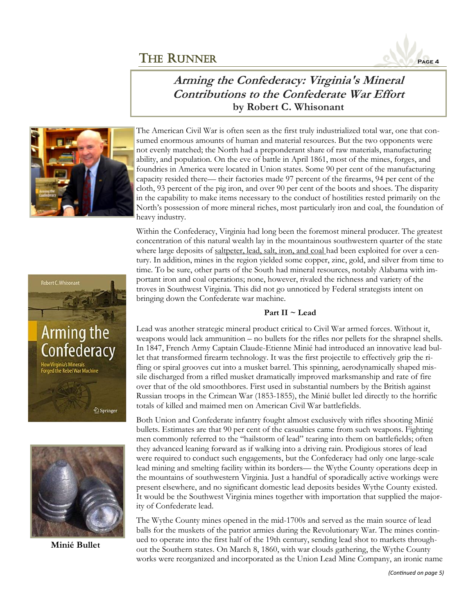

### **Arming the Confederacy: Virginia's Mineral Contributions to the Confederate War Effort by Robert C. Whisonant**



The American Civil War is often seen as the first truly industrialized total war, one that consumed enormous amounts of human and material resources. But the two opponents were not evenly matched; the North had a preponderant share of raw materials, manufacturing ability, and population. On the eve of battle in April 1861, most of the mines, forges, and foundries in America were located in Union states. Some 90 per cent of the manufacturing capacity resided there— their factories made 97 percent of the firearms, 94 per cent of the cloth, 93 percent of the pig iron, and over 90 per cent of the boots and shoes. The disparity in the capability to make items necessary to the conduct of hostilities rested primarily on the North's possession of more mineral riches, most particularly iron and coal, the foundation of heavy industry.

Within the Confederacy, Virginia had long been the foremost mineral producer. The greatest concentration of this natural wealth lay in the mountainous southwestern quarter of the state where large deposits of saltpeter, lead, salt, iron, and coal had been exploited for over a century. In addition, mines in the region yielded some copper, zinc, gold, and silver from time to time. To be sure, other parts of the South had mineral resources, notably Alabama with important iron and coal operations; none, however, rivaled the richness and variety of the troves in Southwest Virginia. This did not go unnoticed by Federal strategists intent on bringing down the Confederate war machine.

#### **Part II ~ Lead**

Lead was another strategic mineral product critical to Civil War armed forces. Without it, weapons would lack ammunition – no bullets for the rifles nor pellets for the shrapnel shells. In 1847, French Army Captain Claude-Etienne Minié had introduced an innovative lead bullet that transformed firearm technology. It was the first projectile to effectively grip the rifling or spiral grooves cut into a musket barrel. This spinning, aerodynamically shaped missile discharged from a rifled musket dramatically improved marksmanship and rate of fire over that of the old smoothbores. First used in substantial numbers by the British against Russian troops in the Crimean War (1853-1855), the Minié bullet led directly to the horrific totals of killed and maimed men on American Civil War battlefields.

Both Union and Confederate infantry fought almost exclusively with rifles shooting Minié bullets. Estimates are that 90 per cent of the casualties came from such weapons. Fighting men commonly referred to the "hailstorm of lead" tearing into them on battlefields; often they advanced leaning forward as if walking into a driving rain. Prodigious stores of lead were required to conduct such engagements, but the Confederacy had only one large-scale lead mining and smelting facility within its borders— the Wythe County operations deep in the mountains of southwestern Virginia. Just a handful of sporadically active workings were present elsewhere, and no significant domestic lead deposits besides Wythe County existed. It would be the Southwest Virginia mines together with importation that supplied the majority of Confederate lead.

The Wythe County mines opened in the mid-1700s and served as the main source of lead balls for the muskets of the patriot armies during the Revolutionary War. The mines continued to operate into the first half of the 19th century, sending lead shot to markets throughout the Southern states. On March 8, 1860, with war clouds gathering, the Wythe County works were reorganized and incorporated as the Union Lead Mine Company, an ironic name





**Minié Bullet**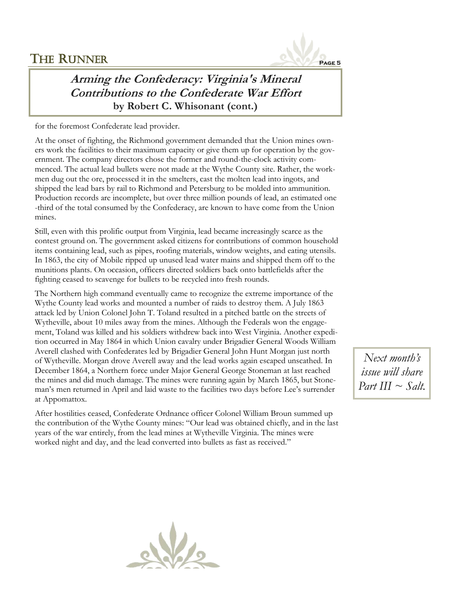

# **Arming the Confederacy: Virginia's Mineral Contributions to the Confederate War Effort by Robert C. Whisonant (cont.)**

for the foremost Confederate lead provider.

At the onset of fighting, the Richmond government demanded that the Union mines owners work the facilities to their maximum capacity or give them up for operation by the government. The company directors chose the former and round-the-clock activity commenced. The actual lead bullets were not made at the Wythe County site. Rather, the workmen dug out the ore, processed it in the smelters, cast the molten lead into ingots, and shipped the lead bars by rail to Richmond and Petersburg to be molded into ammunition. Production records are incomplete, but over three million pounds of lead, an estimated one -third of the total consumed by the Confederacy, are known to have come from the Union mines.

Still, even with this prolific output from Virginia, lead became increasingly scarce as the contest ground on. The government asked citizens for contributions of common household items containing lead, such as pipes, roofing materials, window weights, and eating utensils. In 1863, the city of Mobile ripped up unused lead water mains and shipped them off to the munitions plants. On occasion, officers directed soldiers back onto battlefields after the fighting ceased to scavenge for bullets to be recycled into fresh rounds.

The Northern high command eventually came to recognize the extreme importance of the Wythe County lead works and mounted a number of raids to destroy them. A July 1863 attack led by Union Colonel John T. Toland resulted in a pitched battle on the streets of Wytheville, about 10 miles away from the mines. Although the Federals won the engagement, Toland was killed and his soldiers withdrew back into West Virginia. Another expedition occurred in May 1864 in which Union cavalry under Brigadier General Woods William Averell clashed with Confederates led by Brigadier General John Hunt Morgan just north of Wytheville. Morgan drove Averell away and the lead works again escaped unscathed. In December 1864, a Northern force under Major General George Stoneman at last reached the mines and did much damage. The mines were running again by March 1865, but Stoneman's men returned in April and laid waste to the facilities two days before Lee's surrender at Appomattox.

After hostilities ceased, Confederate Ordnance officer Colonel William Broun summed up the contribution of the Wythe County mines: "Our lead was obtained chiefly, and in the last years of the war entirely, from the lead mines at Wytheville Virginia. The mines were worked night and day, and the lead converted into bullets as fast as received."

*Next month's issue will share Part III ~ Salt.*

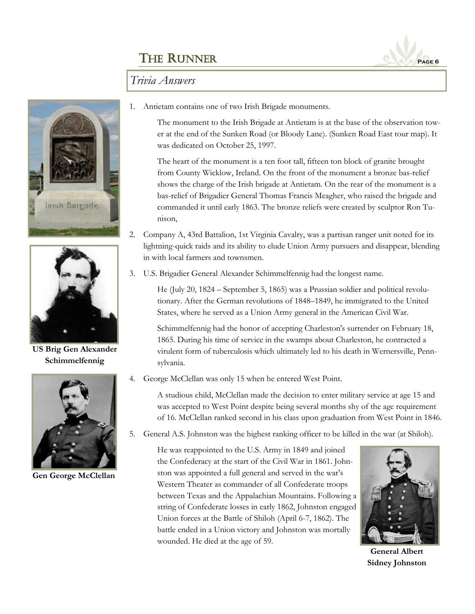

### *Trivia Answers*





**US Brig Gen Alexander Schimmelfennig**



**Gen George McClellan**

1. Antietam contains one of two Irish Brigade monuments.

The monument to the Irish Brigade at Antietam is at the base of the observation tower at the end of the Sunken Road (or Bloody Lane). (Sunken Road East tour map). It was dedicated on October 25, 1997.

The heart of the monument is a ten foot tall, fifteen ton block of granite brought from County Wicklow, Ireland. On the front of the monument a bronze bas-relief shows the charge of the Irish brigade at Antietam. On the rear of the monument is a bas-relief of Brigadier General Thomas Francis Meagher, who raised the brigade and commanded it until early 1863. The bronze reliefs were created by sculptor Ron Tunison,

- 2. Company A, 43rd Battalion, 1st Virginia Cavalry, was a partisan ranger unit noted for its lightning-quick raids and its ability to elude Union Army pursuers and disappear, blending in with local farmers and townsmen.
- 3. U.S. Brigadier General Alexander Schimmelfennig had the longest name.

He (July 20, 1824 – September 5, 1865) was a Prussian soldier and political revolutionary. After the German revolutions of 1848–1849, he immigrated to the United States, where he served as a Union Army general in the American Civil War.

Schimmelfennig had the honor of accepting Charleston's surrender on February 18, 1865. During his time of service in the swamps about Charleston, he contracted a virulent form of tuberculosis which ultimately led to his death in Wernersville, Pennsylvania.

4. George McClellan was only 15 when he entered West Point.

A studious child, McClellan made the decision to enter military service at age 15 and was accepted to West Point despite being several months shy of the age requirement of 16. McClellan ranked second in his class upon graduation from West Point in 1846.

5. General A.S. Johnston was the highest ranking officer to be killed in the war (at Shiloh).

He was reappointed to the U.S. Army in 1849 and joined the Confederacy at the start of the Civil War in 1861. Johnston was appointed a full general and served in the war's Western Theater as commander of all Confederate troops between Texas and the Appalachian Mountains. Following a string of Confederate losses in early 1862, Johnston engaged Union forces at the Battle of Shiloh (April 6-7, 1862). The battle ended in a Union victory and Johnston was mortally wounded. He died at the age of 59.



**General Albert Sidney Johnston**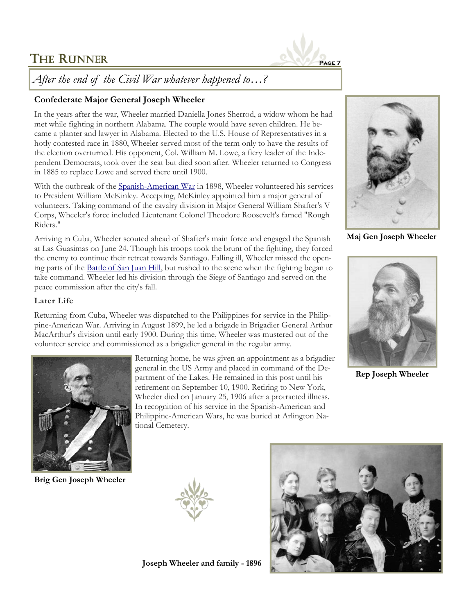

*After the end of the Civil War whatever happened to…?*

### **Confederate Major General Joseph Wheeler**

In the years after the war, Wheeler married Daniella Jones Sherrod, a widow whom he had met while fighting in northern Alabama. The couple would have seven children. He became a planter and lawyer in Alabama. Elected to the U.S. House of Representatives in a hotly contested race in 1880, Wheeler served most of the term only to have the results of the election overturned. His opponent, Col. William M. Lowe, a fiery leader of the Independent Democrats, took over the seat but died soon after. Wheeler returned to Congress in 1885 to replace Lowe and served there until 1900.

With the outbreak of the [Spanish-American War](https://www.thoughtco.com/the-spanish-american-war-2360843) in 1898, Wheeler volunteered his services to President William McKinley. Accepting, McKinley appointed him a major general of volunteers. Taking command of the cavalry division in Major General William Shafter's V Corps, Wheeler's force included Lieutenant Colonel Theodore Roosevelt's famed "Rough Riders."

Arriving in Cuba, Wheeler scouted ahead of Shafter's main force and engaged the Spanish at Las Guasimas on June 24. Though his troops took the brunt of the fighting, they forced the enemy to continue their retreat towards Santiago. Falling ill, Wheeler missed the opening parts of the [Battle of San Juan Hill,](https://www.thoughtco.com/spanish-american-war-battle-of-san-juan-hill-2360836) but rushed to the scene when the fighting began to take command. Wheeler led his division through the Siege of Santiago and served on the peace commission after the city's fall.

#### **Later Life**

Returning from Cuba, Wheeler was dispatched to the Philippines for service in the Philippine-American War. Arriving in August 1899, he led a brigade in Brigadier General Arthur MacArthur's division until early 1900. During this time, Wheeler was mustered out of the volunteer service and commissioned as a brigadier general in the regular army.



**Brig Gen Joseph Wheeler**

Returning home, he was given an appointment as a brigadier general in the US Army and placed in command of the Department of the Lakes. He remained in this post until his retirement on September 10, 1900. Retiring to New York, Wheeler died on January 25, 1906 after a protracted illness. In recognition of his service in the Spanish-American and Philippine-American Wars, he was buried at Arlington National Cemetery.



**Maj Gen Joseph Wheeler**



**Rep Joseph Wheeler**





**Joseph Wheeler and family - 1896**